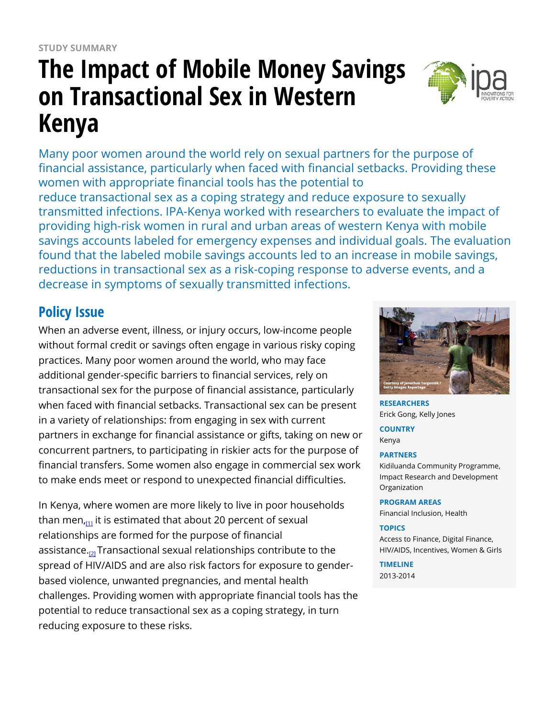# **The Impact of Mobile Money Savings on Transactional Sex in Western Kenya**



Many poor women around the world rely on sexual partners for the purpose of financial assistance, particularly when faced with financial setbacks. Providing these women with appropriate financial tools has the potential to reduce transactional sex as a coping strategy and reduce exposure to sexually transmitted infections. IPA-Kenya worked with researchers to evaluate the impact of providing high-risk women in rural and urban areas of western Kenya with mobile savings accounts labeled for emergency expenses and individual goals. The evaluation found that the labeled mobile savings accounts led to an increase in mobile savings, reductions in transactional sex as a risk-coping response to adverse events, and a decrease in symptoms of sexually transmitted infections.

# **Policy Issue**

When an adverse event, illness, or injury occurs, low-income people without formal credit or savings often engage in various risky coping practices. Many poor women around the world, who may face additional gender-specific barriers to financial services, rely on transactional sex for the purpose of financial assistance, particularly when faced with financial setbacks. Transactional sex can be present in a variety of relationships: from engaging in sex with current partners in exchange for financial assistance or gifts, taking on new or concurrent partners, to participating in riskier acts for the purpose of financial transfers. Some women also engage in commercial sex work to make ends meet or respond to unexpected financial difficulties.

In Kenya, where women are more likely to live in poor households than men<sub> $n_{11}$ </sub> it is estimated that about 20 percent of sexual relationships are formed for the purpose of financial assistance.<sub>[\[2\]](https://www.poverty-action.org/printpdf/37071#_ftn2)</sub> Transactional sexual relationships contribute to the spread of HIV/AIDS and are also risk factors for exposure to genderbased violence, unwanted pregnancies, and mental health challenges. Providing women with appropriate financial tools has the potential to reduce transactional sex as a coping strategy, in turn reducing exposure to these risks.



**RESEARCHERS** Erick Gong, Kelly Jones

**COUNTRY** Kenya

#### **PARTNERS**

Kidiluanda Community Programme, Impact Research and Development Organization

#### **PROGRAM AREAS**

Financial Inclusion, Health

#### **TOPICS**

Access to Finance, Digital Finance, HIV/AIDS, Incentives, Women & Girls

**TIMELINE** 2013-2014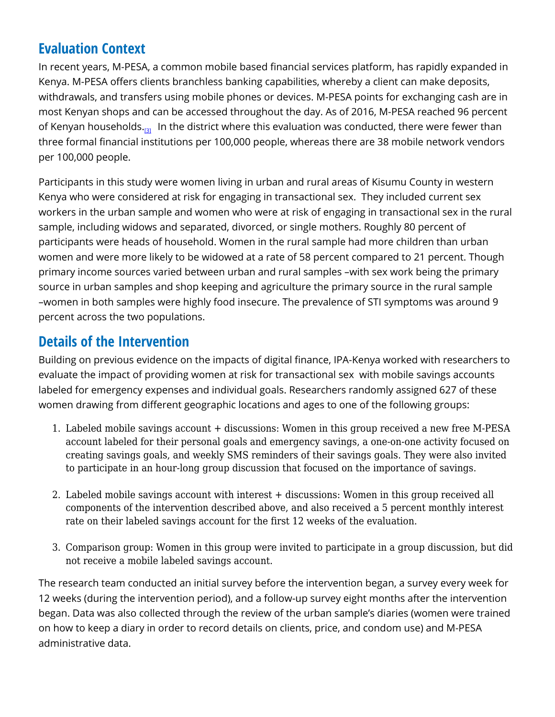# **Evaluation Context**

In recent years, M-PESA, a common mobile based financial services platform, has rapidly expanded in Kenya. M-PESA offers clients branchless banking capabilities, whereby a client can make deposits, withdrawals, and transfers using mobile phones or devices. M-PESA points for exchanging cash are in most Kenyan shops and can be accessed throughout the day. As of 2016, M-PESA reached 96 percent of Kenyan households.<sub>[\[3\]](https://www.poverty-action.org/printpdf/37071#_ftn1)</sub> In the district where this evaluation was conducted, there were fewer than three formal financial institutions per 100,000 people, whereas there are 38 mobile network vendors per 100,000 people.

Participants in this study were women living in urban and rural areas of Kisumu County in western Kenya who were considered at risk for engaging in transactional sex. They included current sex workers in the urban sample and women who were at risk of engaging in transactional sex in the rural sample, including widows and separated, divorced, or single mothers. Roughly 80 percent of participants were heads of household. Women in the rural sample had more children than urban women and were more likely to be widowed at a rate of 58 percent compared to 21 percent. Though primary income sources varied between urban and rural samples –with sex work being the primary source in urban samples and shop keeping and agriculture the primary source in the rural sample –women in both samples were highly food insecure. The prevalence of STI symptoms was around 9 percent across the two populations.

### **Details of the Intervention**

Building on previous evidence on the impacts of digital finance, IPA-Kenya worked with researchers to evaluate the impact of providing women at risk for transactional sex with mobile savings accounts labeled for emergency expenses and individual goals. Researchers randomly assigned 627 of these women drawing from different geographic locations and ages to one of the following groups:

- 1. Labeled mobile savings account + discussions: Women in this group received a new free M-PESA account labeled for their personal goals and emergency savings, a one-on-one activity focused on creating savings goals, and weekly SMS reminders of their savings goals. They were also invited to participate in an hour-long group discussion that focused on the importance of savings.
- 2. Labeled mobile savings account with interest + discussions: Women in this group received all components of the intervention described above, and also received a 5 percent monthly interest rate on their labeled savings account for the first 12 weeks of the evaluation.
- 3. Comparison group: Women in this group were invited to participate in a group discussion, but did not receive a mobile labeled savings account.

The research team conducted an initial survey before the intervention began, a survey every week for 12 weeks (during the intervention period), and a follow-up survey eight months after the intervention began. Data was also collected through the review of the urban sample's diaries (women were trained on how to keep a diary in order to record details on clients, price, and condom use) and M-PESA administrative data.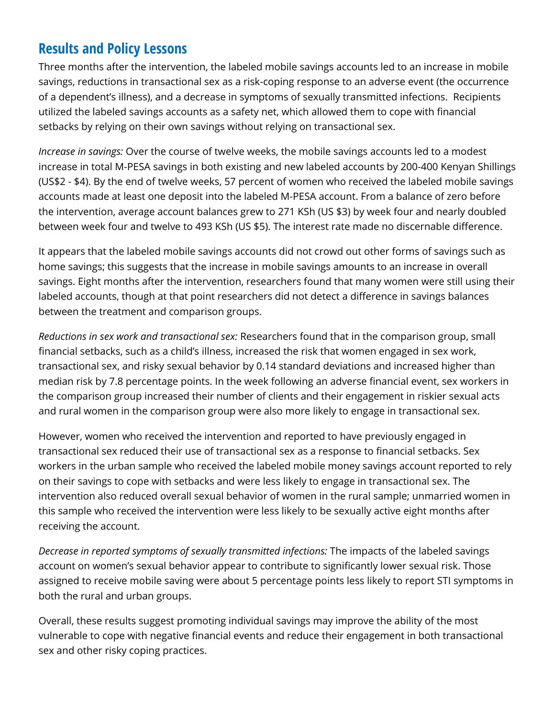# **Results and Policy Lessons**

Three months after the intervention, the labeled mobile savings accounts led to an increase in mobile savings, reductions in transactional sex as a risk-coping response to an adverse event (the occurrence of a dependent's illness), and a decrease in symptoms of sexually transmitted infections. Recipients utilized the labeled savings accounts as a safety net, which allowed them to cope with financial setbacks by relying on their own savings without relying on transactional sex.

*Increase in savings:* Over the course of twelve weeks, the mobile savings accounts led to a modest increase in total M-PESA savings in both existing and new labeled accounts by 200-400 Kenyan Shillings (US\$2 - \$4). By the end of twelve weeks, 57 percent of women who received the labeled mobile savings accounts made at least one deposit into the labeled M-PESA account. From a balance of zero before the intervention, average account balances grew to 271 KSh (US \$3) by week four and nearly doubled between week four and twelve to 493 KSh (US \$5). The interest rate made no discernable difference.

It appears that the labeled mobile savings accounts did not crowd out other forms of savings such as home savings; this suggests that the increase in mobile savings amounts to an increase in overall savings. Eight months after the intervention, researchers found that many women were still using their labeled accounts, though at that point researchers did not detect a difference in savings balances between the treatment and comparison groups.

*Reductions in sex work and transactional sex:* Researchers found that in the comparison group, small financial setbacks, such as a child's illness, increased the risk that women engaged in sex work, transactional sex, and risky sexual behavior by 0.14 standard deviations and increased higher than median risk by 7.8 percentage points. In the week following an adverse financial event, sex workers in the comparison group increased their number of clients and their engagement in riskier sexual acts and rural women in the comparison group were also more likely to engage in transactional sex.

However, women who received the intervention and reported to have previously engaged in transactional sex reduced their use of transactional sex as a response to financial setbacks. Sex workers in the urban sample who received the labeled mobile money savings account reported to rely on their savings to cope with setbacks and were less likely to engage in transactional sex. The intervention also reduced overall sexual behavior of women in the rural sample; unmarried women in this sample who received the intervention were less likely to be sexually active eight months after receiving the account.

*Decrease in reported symptoms of sexually transmitted infections:* The impacts of the labeled savings account on women's sexual behavior appear to contribute to significantly lower sexual risk. Those assigned to receive mobile saving were about 5 percentage points less likely to report STI symptoms in both the rural and urban groups.

Overall, these results suggest promoting individual savings may improve the ability of the most vulnerable to cope with negative financial events and reduce their engagement in both transactional sex and other risky coping practices.